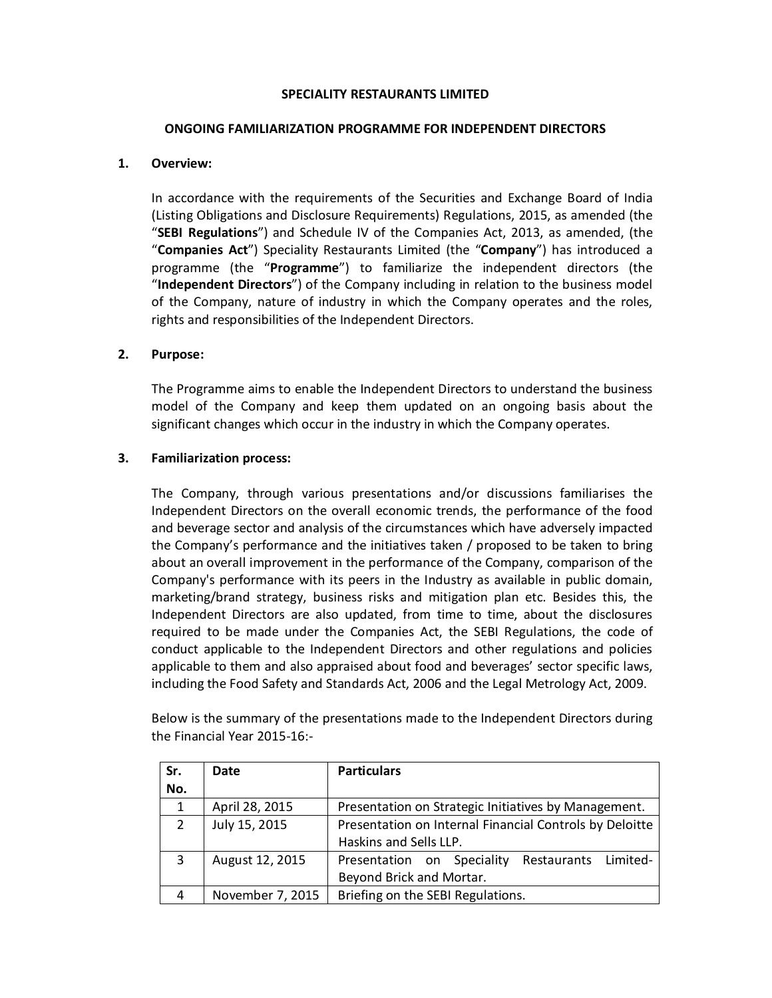### SPECIALITY RESTAURANTS LIMITED

#### ONGOING FAMILIARIZATION PROGRAMME FOR INDEPENDENT DIRECTORS

## 1. Overview:

In accordance with the requirements of the Securities and Exchange Board of India (Listing Obligations and Disclosure Requirements) Regulations, 2015, as amended (the "SEBI Regulations") and Schedule IV of the Companies Act, 2013, as amended, (the "Companies Act") Speciality Restaurants Limited (the "Company") has introduced a programme (the "Programme") to familiarize the independent directors (the "Independent Directors") of the Company including in relation to the business model of the Company, nature of industry in which the Company operates and the roles, rights and responsibilities of the Independent Directors.

## 2. Purpose:

The Programme aims to enable the Independent Directors to understand the business model of the Company and keep them updated on an ongoing basis about the significant changes which occur in the industry in which the Company operates.

## 3. Familiarization process:

The Company, through various presentations and/or discussions familiarises the Independent Directors on the overall economic trends, the performance of the food and beverage sector and analysis of the circumstances which have adversely impacted the Company's performance and the initiatives taken / proposed to be taken to bring about an overall improvement in the performance of the Company, comparison of the Company's performance with its peers in the Industry as available in public domain, marketing/brand strategy, business risks and mitigation plan etc. Besides this, the Independent Directors are also updated, from time to time, about the disclosures required to be made under the Companies Act, the SEBI Regulations, the code of conduct applicable to the Independent Directors and other regulations and policies applicable to them and also appraised about food and beverages' sector specific laws, including the Food Safety and Standards Act, 2006 and the Legal Metrology Act, 2009.

Below is the summary of the presentations made to the Independent Directors during the Financial Year 2015-16:-

| Sr.            | Date             | <b>Particulars</b>                                      |
|----------------|------------------|---------------------------------------------------------|
| No.            |                  |                                                         |
| 1              | April 28, 2015   | Presentation on Strategic Initiatives by Management.    |
| $\overline{2}$ | July 15, 2015    | Presentation on Internal Financial Controls by Deloitte |
|                |                  | Haskins and Sells LLP.                                  |
| 3              | August 12, 2015  | Restaurants Limited-<br>Presentation on Speciality      |
|                |                  | Beyond Brick and Mortar.                                |
| 4              | November 7, 2015 | Briefing on the SEBI Regulations.                       |